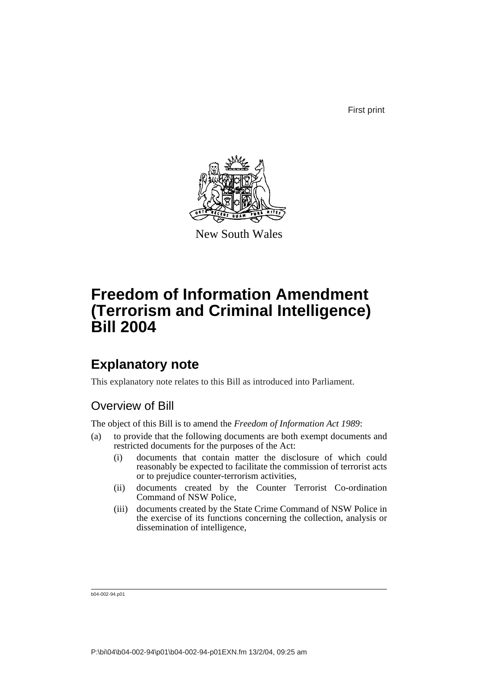First print



New South Wales

# **Freedom of Information Amendment (Terrorism and Criminal Intelligence) Bill 2004**

### **Explanatory note**

This explanatory note relates to this Bill as introduced into Parliament.

### Overview of Bill

The object of this Bill is to amend the *Freedom of Information Act 1989*:

- (a) to provide that the following documents are both exempt documents and restricted documents for the purposes of the Act:
	- (i) documents that contain matter the disclosure of which could reasonably be expected to facilitate the commission of terrorist acts or to prejudice counter-terrorism activities,
	- (ii) documents created by the Counter Terrorist Co-ordination Command of NSW Police,
	- (iii) documents created by the State Crime Command of NSW Police in the exercise of its functions concerning the collection, analysis or dissemination of intelligence,

b04-002-94.p01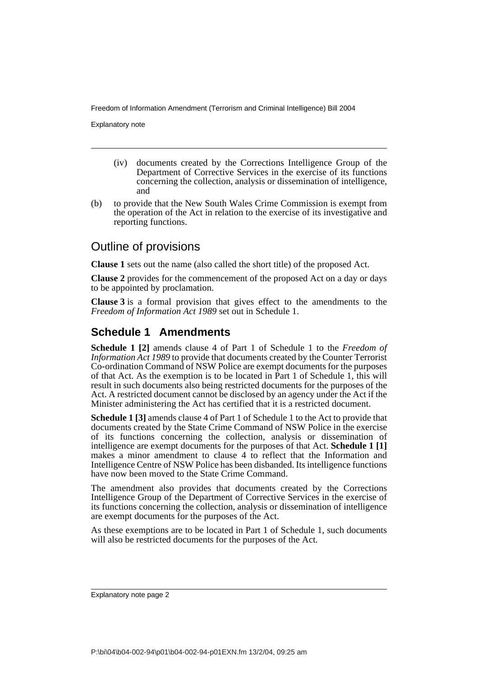Explanatory note

- (iv) documents created by the Corrections Intelligence Group of the Department of Corrective Services in the exercise of its functions concerning the collection, analysis or dissemination of intelligence, and
- (b) to provide that the New South Wales Crime Commission is exempt from the operation of the Act in relation to the exercise of its investigative and reporting functions.

#### Outline of provisions

**Clause 1** sets out the name (also called the short title) of the proposed Act.

**Clause 2** provides for the commencement of the proposed Act on a day or days to be appointed by proclamation.

**Clause 3** is a formal provision that gives effect to the amendments to the *Freedom of Information Act 1989* set out in Schedule 1.

#### **Schedule 1 Amendments**

**Schedule 1 [2]** amends clause 4 of Part 1 of Schedule 1 to the *Freedom of Information Act 1989* to provide that documents created by the Counter Terrorist Co-ordination Command of NSW Police are exempt documents for the purposes of that Act. As the exemption is to be located in Part 1 of Schedule 1, this will result in such documents also being restricted documents for the purposes of the Act. A restricted document cannot be disclosed by an agency under the Act if the Minister administering the Act has certified that it is a restricted document.

**Schedule 1 [3]** amends clause 4 of Part 1 of Schedule 1 to the Act to provide that documents created by the State Crime Command of NSW Police in the exercise of its functions concerning the collection, analysis or dissemination of intelligence are exempt documents for the purposes of that Act. **Schedule 1 [1]** makes a minor amendment to clause 4 to reflect that the Information and Intelligence Centre of NSW Police has been disbanded. Its intelligence functions have now been moved to the State Crime Command.

The amendment also provides that documents created by the Corrections Intelligence Group of the Department of Corrective Services in the exercise of its functions concerning the collection, analysis or dissemination of intelligence are exempt documents for the purposes of the Act.

As these exemptions are to be located in Part 1 of Schedule 1, such documents will also be restricted documents for the purposes of the Act.

Explanatory note page 2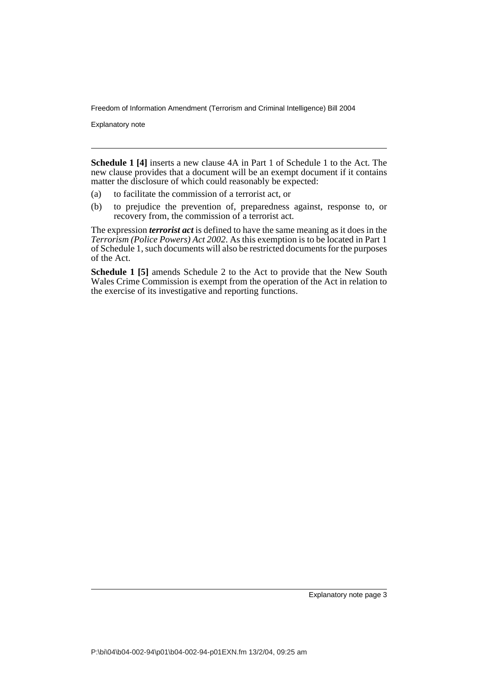Explanatory note

**Schedule 1 [4]** inserts a new clause 4A in Part 1 of Schedule 1 to the Act. The new clause provides that a document will be an exempt document if it contains matter the disclosure of which could reasonably be expected:

- (a) to facilitate the commission of a terrorist act, or
- (b) to prejudice the prevention of, preparedness against, response to, or recovery from, the commission of a terrorist act.

The expression *terrorist act* is defined to have the same meaning as it does in the *Terrorism (Police Powers) Act 2002*. As this exemption is to be located in Part 1 of Schedule 1, such documents will also be restricted documents for the purposes of the Act.

**Schedule 1 [5]** amends Schedule 2 to the Act to provide that the New South Wales Crime Commission is exempt from the operation of the Act in relation to the exercise of its investigative and reporting functions.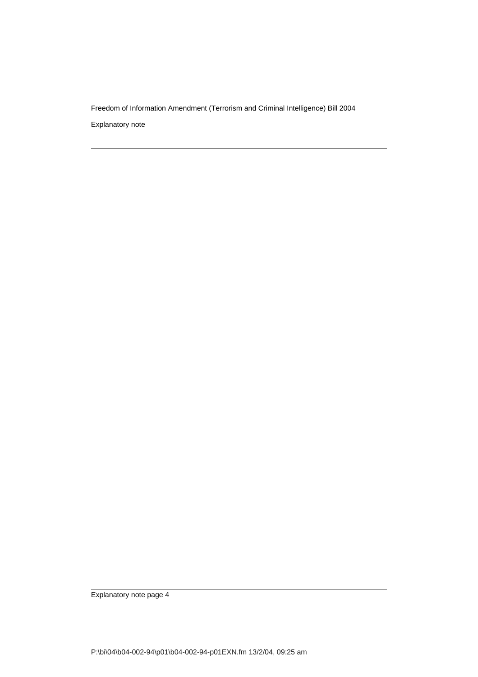Explanatory note

Explanatory note page 4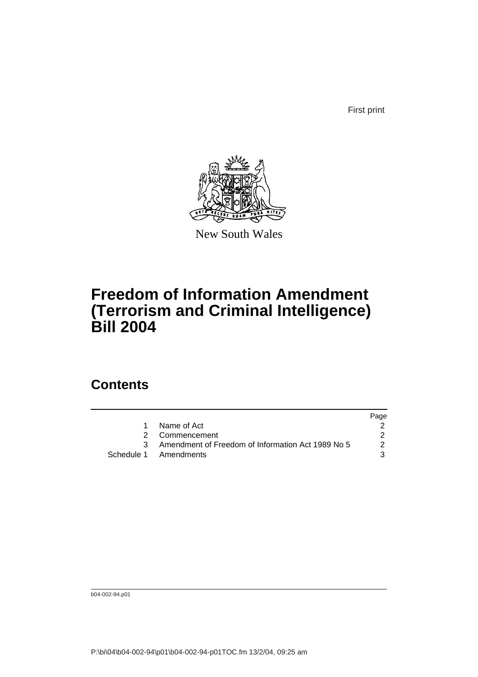First print



New South Wales

# **Freedom of Information Amendment (Terrorism and Criminal Intelligence) Bill 2004**

### **Contents**

|                                                     | Page          |
|-----------------------------------------------------|---------------|
| Name of Act                                         |               |
| 2 Commencement                                      |               |
| 3 Amendment of Freedom of Information Act 1989 No 5 | $\mathcal{P}$ |
| Schedule 1 Amendments                               | 3             |

b04-002-94.p01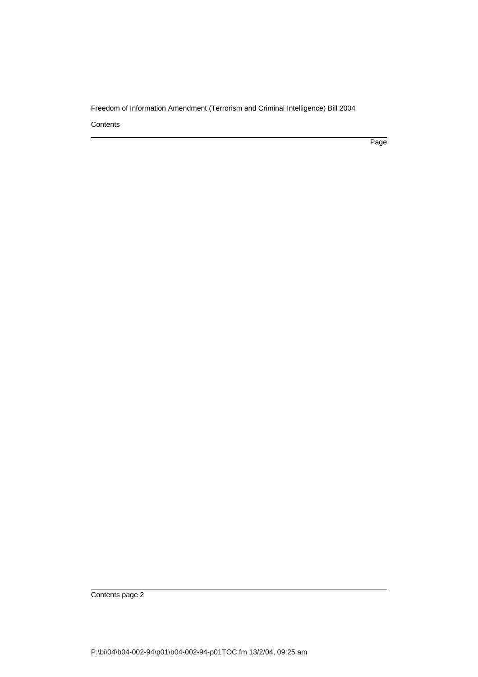**Contents** 

Page

Contents page 2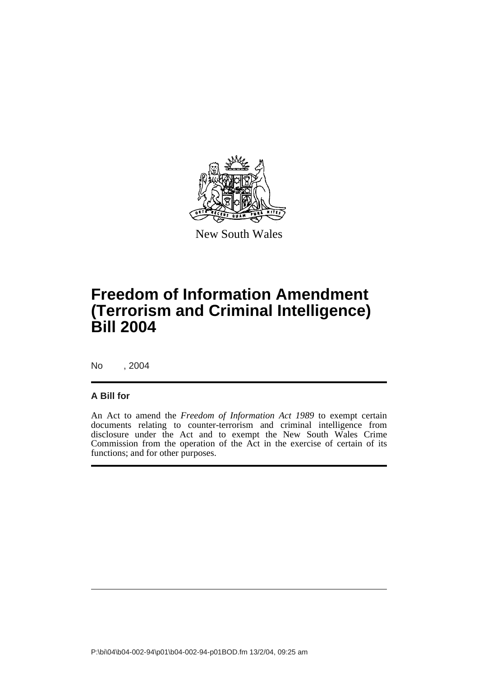

New South Wales

## **Freedom of Information Amendment (Terrorism and Criminal Intelligence) Bill 2004**

No , 2004

#### **A Bill for**

An Act to amend the *Freedom of Information Act 1989* to exempt certain documents relating to counter-terrorism and criminal intelligence from disclosure under the Act and to exempt the New South Wales Crime Commission from the operation of the Act in the exercise of certain of its functions; and for other purposes.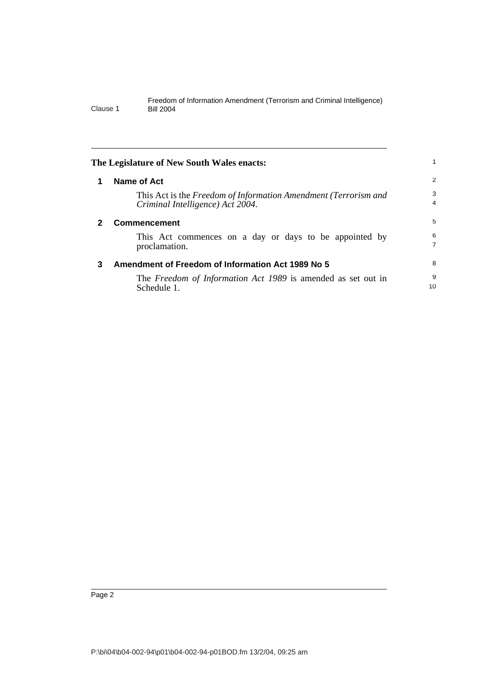<span id="page-7-2"></span><span id="page-7-1"></span><span id="page-7-0"></span>

|   | The Legislature of New South Wales enacts:                                                          |                     |
|---|-----------------------------------------------------------------------------------------------------|---------------------|
|   |                                                                                                     |                     |
| 1 | Name of Act                                                                                         | 2                   |
|   | This Act is the Freedom of Information Amendment (Terrorism and<br>Criminal Intelligence) Act 2004. | 3<br>$\overline{4}$ |
|   | <b>Commencement</b>                                                                                 | 5                   |
|   | This Act commences on a day or days to be appointed by<br>proclamation.                             | 6<br>7              |
| 3 | Amendment of Freedom of Information Act 1989 No 5                                                   | 8                   |
|   | The Freedom of Information Act 1989 is amended as set out in<br>Schedule 1.                         | 9<br>10             |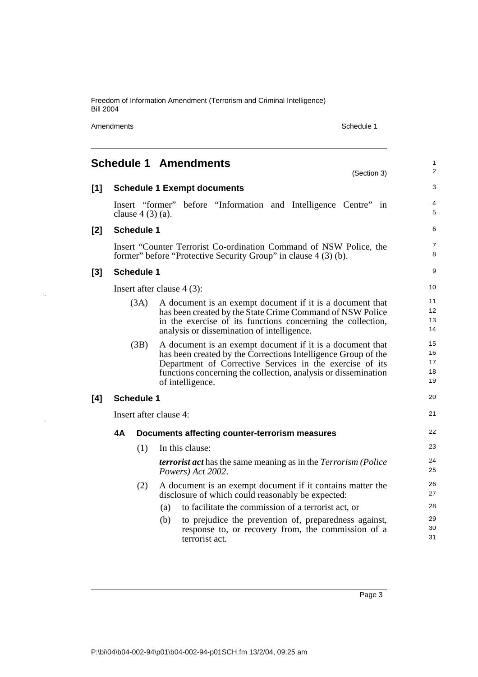Amendments Schedule 1

<span id="page-8-0"></span>

| <b>Schedule 1 Amendments</b><br>(Section 3) |                                                             |                    |                                                                                                                                                                                                                                                                              |                            |  |
|---------------------------------------------|-------------------------------------------------------------|--------------------|------------------------------------------------------------------------------------------------------------------------------------------------------------------------------------------------------------------------------------------------------------------------------|----------------------------|--|
| [1]                                         |                                                             |                    | <b>Schedule 1 Exempt documents</b>                                                                                                                                                                                                                                           | 3                          |  |
|                                             |                                                             | clause $4(3)(a)$ . | Insert "former" before "Information and Intelligence Centre" in                                                                                                                                                                                                              | 4<br>5                     |  |
| [2]                                         |                                                             | <b>Schedule 1</b>  |                                                                                                                                                                                                                                                                              | 6                          |  |
|                                             |                                                             |                    | Insert "Counter Terrorist Co-ordination Command of NSW Police, the<br>former" before "Protective Security Group" in clause 4 (3) (b).                                                                                                                                        | 7<br>8                     |  |
| [3]                                         |                                                             | <b>Schedule 1</b>  |                                                                                                                                                                                                                                                                              | 9                          |  |
|                                             |                                                             |                    | Insert after clause $4(3)$ :                                                                                                                                                                                                                                                 | 10                         |  |
|                                             |                                                             | (3A)               | A document is an exempt document if it is a document that<br>has been created by the State Crime Command of NSW Police<br>in the exercise of its functions concerning the collection,<br>analysis or dissemination of intelligence.                                          | 11<br>12<br>13<br>14       |  |
|                                             |                                                             | (3B)               | A document is an exempt document if it is a document that<br>has been created by the Corrections Intelligence Group of the<br>Department of Corrective Services in the exercise of its<br>functions concerning the collection, analysis or dissemination<br>of intelligence. | 15<br>16<br>17<br>18<br>19 |  |
| [4]                                         |                                                             | <b>Schedule 1</b>  |                                                                                                                                                                                                                                                                              | 20                         |  |
|                                             |                                                             |                    | Insert after clause 4:                                                                                                                                                                                                                                                       | 21                         |  |
|                                             | <b>4A</b><br>Documents affecting counter-terrorism measures |                    |                                                                                                                                                                                                                                                                              |                            |  |
|                                             |                                                             | (1)                | In this clause:                                                                                                                                                                                                                                                              | 23                         |  |
|                                             |                                                             |                    | <i>terrorist act</i> has the same meaning as in the <i>Terrorism</i> (Police<br>Powers) Act 2002.                                                                                                                                                                            | 24<br>25                   |  |
|                                             |                                                             | (2)                | A document is an exempt document if it contains matter the<br>disclosure of which could reasonably be expected:                                                                                                                                                              | 26<br>27                   |  |
|                                             |                                                             |                    | to facilitate the commission of a terrorist act, or<br>(a)                                                                                                                                                                                                                   | 28                         |  |
|                                             |                                                             |                    | (b)<br>to prejudice the prevention of, preparedness against,<br>response to, or recovery from, the commission of a<br>terrorist act.                                                                                                                                         | 29<br>30<br>31             |  |

Page 3